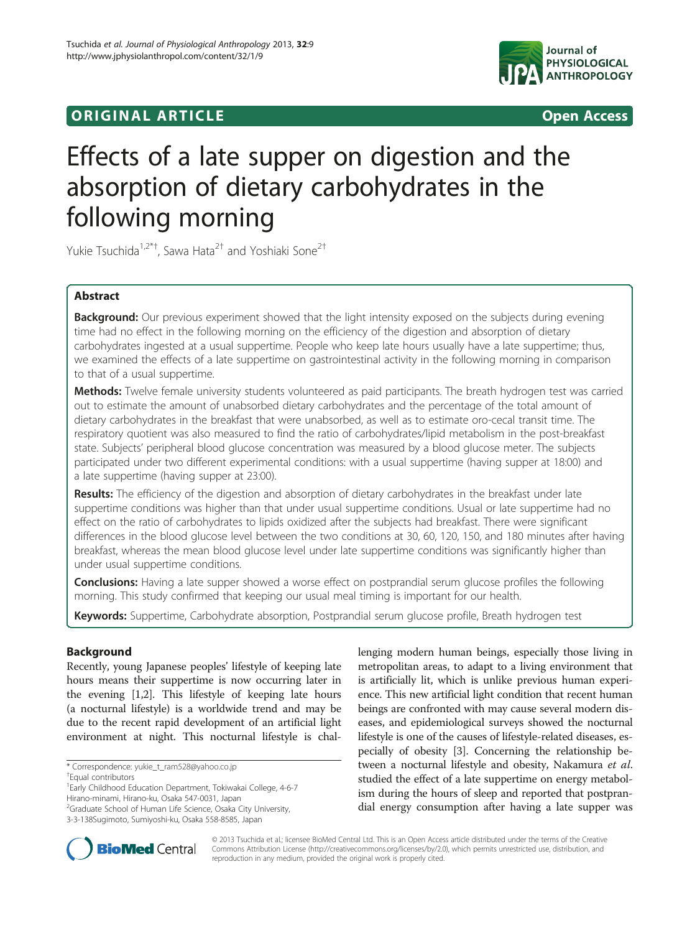# **ORIGINAL ARTICLE CONSUMING A LIGACION** CONSUMING A LIGACION CONSUMING A LIGACION CONSUMING A LIGACION CONSUMING A LIGACION CONSUMING A LIGACION CONSUMING A LIGACION CONSUMING A LIGACION CONSUMING A LIGACION CONSUMING A



# Effects of a late supper on digestion and the absorption of dietary carbohydrates in the following morning

Yukie Tsuchida<sup>1,2\*†</sup>, Sawa Hata<sup>2†</sup> and Yoshiaki Sone<sup>2†</sup>

# Abstract

Background: Our previous experiment showed that the light intensity exposed on the subjects during evening time had no effect in the following morning on the efficiency of the digestion and absorption of dietary carbohydrates ingested at a usual suppertime. People who keep late hours usually have a late suppertime; thus, we examined the effects of a late suppertime on gastrointestinal activity in the following morning in comparison to that of a usual suppertime.

Methods: Twelve female university students volunteered as paid participants. The breath hydrogen test was carried out to estimate the amount of unabsorbed dietary carbohydrates and the percentage of the total amount of dietary carbohydrates in the breakfast that were unabsorbed, as well as to estimate oro-cecal transit time. The respiratory quotient was also measured to find the ratio of carbohydrates/lipid metabolism in the post-breakfast state. Subjects' peripheral blood glucose concentration was measured by a blood glucose meter. The subjects participated under two different experimental conditions: with a usual suppertime (having supper at 18:00) and a late suppertime (having supper at 23:00).

Results: The efficiency of the digestion and absorption of dietary carbohydrates in the breakfast under late suppertime conditions was higher than that under usual suppertime conditions. Usual or late suppertime had no effect on the ratio of carbohydrates to lipids oxidized after the subjects had breakfast. There were significant differences in the blood glucose level between the two conditions at 30, 60, 120, 150, and 180 minutes after having breakfast, whereas the mean blood glucose level under late suppertime conditions was significantly higher than under usual suppertime conditions.

**Conclusions:** Having a late supper showed a worse effect on postprandial serum glucose profiles the following morning. This study confirmed that keeping our usual meal timing is important for our health.

Keywords: Suppertime, Carbohydrate absorption, Postprandial serum glucose profile, Breath hydrogen test

# Background

Recently, young Japanese peoples' lifestyle of keeping late hours means their suppertime is now occurring later in the evening [\[1,2\]](#page-6-0). This lifestyle of keeping late hours (a nocturnal lifestyle) is a worldwide trend and may be due to the recent rapid development of an artificial light environment at night. This nocturnal lifestyle is chal-

3-3-138Sugimoto, Sumiyoshi-ku, Osaka 558-8585, Japan

lenging modern human beings, especially those living in metropolitan areas, to adapt to a living environment that is artificially lit, which is unlike previous human experience. This new artificial light condition that recent human beings are confronted with may cause several modern diseases, and epidemiological surveys showed the nocturnal lifestyle is one of the causes of lifestyle-related diseases, especially of obesity [[3\]](#page-6-0). Concerning the relationship between a nocturnal lifestyle and obesity, Nakamura et al. studied the effect of a late suppertime on energy metabolism during the hours of sleep and reported that postprandial energy consumption after having a late supper was



© 2013 Tsuchida et al.; licensee BioMed Central Ltd. This is an Open Access article distributed under the terms of the Creative Commons Attribution License [\(http://creativecommons.org/licenses/by/2.0\)](http://creativecommons.org/licenses/by/2.0), which permits unrestricted use, distribution, and reproduction in any medium, provided the original work is properly cited.

<sup>\*</sup> Correspondence: [yukie\\_t\\_ram528@yahoo.co.jp](mailto:yukie_t_ram528@yahoo.co.jp) †

Equal contributors

<sup>&</sup>lt;sup>1</sup> Early Childhood Education Department, Tokiwakai College, 4-6-7 Hirano-minami, Hirano-ku, Osaka 547-0031, Japan

<sup>&</sup>lt;sup>2</sup>Graduate School of Human Life Science, Osaka City University,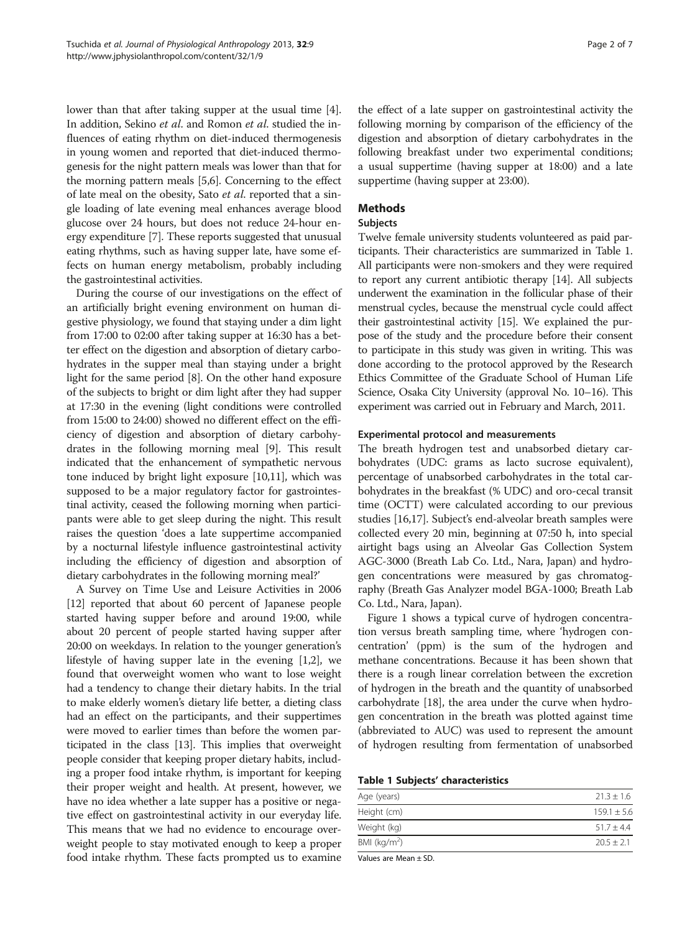lower than that after taking supper at the usual time [[4](#page-6-0)]. In addition, Sekino et al. and Romon et al. studied the influences of eating rhythm on diet-induced thermogenesis in young women and reported that diet-induced thermogenesis for the night pattern meals was lower than that for the morning pattern meals [\[5,6](#page-6-0)]. Concerning to the effect of late meal on the obesity, Sato *et al*. reported that a single loading of late evening meal enhances average blood glucose over 24 hours, but does not reduce 24-hour energy expenditure [\[7](#page-6-0)]. These reports suggested that unusual eating rhythms, such as having supper late, have some effects on human energy metabolism, probably including the gastrointestinal activities.

During the course of our investigations on the effect of an artificially bright evening environment on human digestive physiology, we found that staying under a dim light from 17:00 to 02:00 after taking supper at 16:30 has a better effect on the digestion and absorption of dietary carbohydrates in the supper meal than staying under a bright light for the same period [[8\]](#page-6-0). On the other hand exposure of the subjects to bright or dim light after they had supper at 17:30 in the evening (light conditions were controlled from 15:00 to 24:00) showed no different effect on the efficiency of digestion and absorption of dietary carbohydrates in the following morning meal [\[9\]](#page-6-0). This result indicated that the enhancement of sympathetic nervous tone induced by bright light exposure [\[10,11](#page-6-0)], which was supposed to be a major regulatory factor for gastrointestinal activity, ceased the following morning when participants were able to get sleep during the night. This result raises the question 'does a late suppertime accompanied by a nocturnal lifestyle influence gastrointestinal activity including the efficiency of digestion and absorption of dietary carbohydrates in the following morning meal?'

A Survey on Time Use and Leisure Activities in 2006 [[12](#page-6-0)] reported that about 60 percent of Japanese people started having supper before and around 19:00, while about 20 percent of people started having supper after 20:00 on weekdays. In relation to the younger generation's lifestyle of having supper late in the evening [\[1,2](#page-6-0)], we found that overweight women who want to lose weight had a tendency to change their dietary habits. In the trial to make elderly women's dietary life better, a dieting class had an effect on the participants, and their suppertimes were moved to earlier times than before the women participated in the class [\[13](#page-6-0)]. This implies that overweight people consider that keeping proper dietary habits, including a proper food intake rhythm, is important for keeping their proper weight and health. At present, however, we have no idea whether a late supper has a positive or negative effect on gastrointestinal activity in our everyday life. This means that we had no evidence to encourage overweight people to stay motivated enough to keep a proper food intake rhythm. These facts prompted us to examine

the effect of a late supper on gastrointestinal activity the following morning by comparison of the efficiency of the digestion and absorption of dietary carbohydrates in the following breakfast under two experimental conditions; a usual suppertime (having supper at 18:00) and a late suppertime (having supper at 23:00).

# **Methods**

### Subjects

Twelve female university students volunteered as paid participants. Their characteristics are summarized in Table 1. All participants were non-smokers and they were required to report any current antibiotic therapy [\[14\]](#page-6-0). All subjects underwent the examination in the follicular phase of their menstrual cycles, because the menstrual cycle could affect their gastrointestinal activity [\[15\]](#page-6-0). We explained the purpose of the study and the procedure before their consent to participate in this study was given in writing. This was done according to the protocol approved by the Research Ethics Committee of the Graduate School of Human Life Science, Osaka City University (approval No. 10–16). This experiment was carried out in February and March, 2011.

### Experimental protocol and measurements

The breath hydrogen test and unabsorbed dietary carbohydrates (UDC: grams as lacto sucrose equivalent), percentage of unabsorbed carbohydrates in the total carbohydrates in the breakfast (% UDC) and oro-cecal transit time (OCTT) were calculated according to our previous studies [\[16,17\]](#page-6-0). Subject's end-alveolar breath samples were collected every 20 min, beginning at 07:50 h, into special airtight bags using an Alveolar Gas Collection System AGC-3000 (Breath Lab Co. Ltd., Nara, Japan) and hydrogen concentrations were measured by gas chromatography (Breath Gas Analyzer model BGA-1000; Breath Lab Co. Ltd., Nara, Japan).

Figure [1](#page-2-0) shows a typical curve of hydrogen concentration versus breath sampling time, where 'hydrogen concentration' (ppm) is the sum of the hydrogen and methane concentrations. Because it has been shown that there is a rough linear correlation between the excretion of hydrogen in the breath and the quantity of unabsorbed carbohydrate [\[18](#page-6-0)], the area under the curve when hydrogen concentration in the breath was plotted against time (abbreviated to AUC) was used to represent the amount of hydrogen resulting from fermentation of unabsorbed

#### Table 1 Subjects' characteristics

| Age (years)             | $21.3 + 1.6$  |
|-------------------------|---------------|
| Height (cm)             | $159.1 + 5.6$ |
| Weight (kg)             | $51.7 + 4.4$  |
| BMI ( $\text{kg/m}^2$ ) | $20.5 + 2.1$  |

Values are Mean ± SD.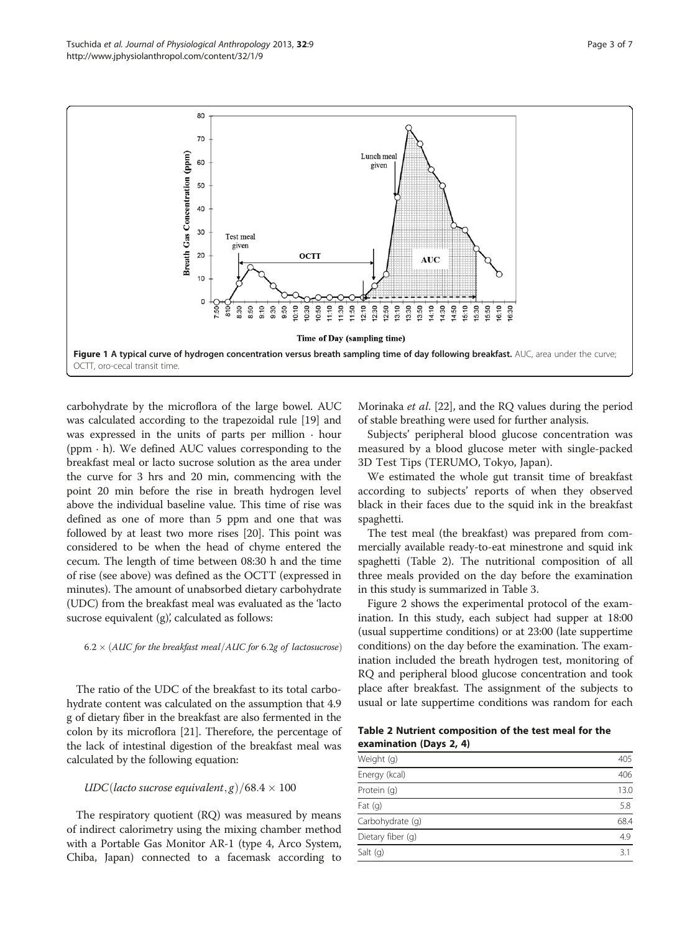<span id="page-2-0"></span>Tsuchida et al. Journal of Physiological Anthropology 2013, 32:9 Page 3 of 7 http://www.jphysiolanthropol.com/content/32/1/9



carbohydrate by the microflora of the large bowel. AUC was calculated according to the trapezoidal rule [\[19](#page-6-0)] and was expressed in the units of parts per million  $\cdot$  hour (ppm · h). We defined AUC values corresponding to the breakfast meal or lacto sucrose solution as the area under the curve for 3 hrs and 20 min, commencing with the point 20 min before the rise in breath hydrogen level above the individual baseline value. This time of rise was defined as one of more than 5 ppm and one that was followed by at least two more rises [\[20\]](#page-6-0). This point was considered to be when the head of chyme entered the cecum. The length of time between 08:30 h and the time of rise (see above) was defined as the OCTT (expressed in minutes). The amount of unabsorbed dietary carbohydrate (UDC) from the breakfast meal was evaluated as the 'lacto sucrose equivalent (g), calculated as follows:

#### $6.2 \times (AUC$  for the breakfast meal/AUC for 6.2g of lactosucrose)

The ratio of the UDC of the breakfast to its total carbohydrate content was calculated on the assumption that 4.9 g of dietary fiber in the breakfast are also fermented in the colon by its microflora [\[21](#page-6-0)]. Therefore, the percentage of the lack of intestinal digestion of the breakfast meal was calculated by the following equation:

# $\text{UDC}( \text{lacto sucrose equivalent}, g) / 68.4 \times 100$

The respiratory quotient (RQ) was measured by means of indirect calorimetry using the mixing chamber method with a Portable Gas Monitor AR-1 (type 4, Arco System, Chiba, Japan) connected to a facemask according to Morinaka et al. [[22](#page-6-0)], and the RQ values during the period of stable breathing were used for further analysis.

Subjects' peripheral blood glucose concentration was measured by a blood glucose meter with single-packed 3D Test Tips (TERUMO, Tokyo, Japan).

We estimated the whole gut transit time of breakfast according to subjects' reports of when they observed black in their faces due to the squid ink in the breakfast spaghetti.

The test meal (the breakfast) was prepared from commercially available ready-to-eat minestrone and squid ink spaghetti (Table 2). The nutritional composition of all three meals provided on the day before the examination in this study is summarized in Table [3](#page-3-0).

Figure [2](#page-3-0) shows the experimental protocol of the examination. In this study, each subject had supper at 18:00 (usual suppertime conditions) or at 23:00 (late suppertime conditions) on the day before the examination. The examination included the breath hydrogen test, monitoring of RQ and peripheral blood glucose concentration and took place after breakfast. The assignment of the subjects to usual or late suppertime conditions was random for each

Table 2 Nutrient composition of the test meal for the examination (Days 2, 4)

| Weight (g)        |      |
|-------------------|------|
| Energy (kcal)     | 406  |
| Protein (g)       | 13.0 |
| Fat $(q)$         | 5.8  |
| Carbohydrate (q)  | 68.4 |
| Dietary fiber (q) | 4.9  |
| Salt $(q)$        | 3.1  |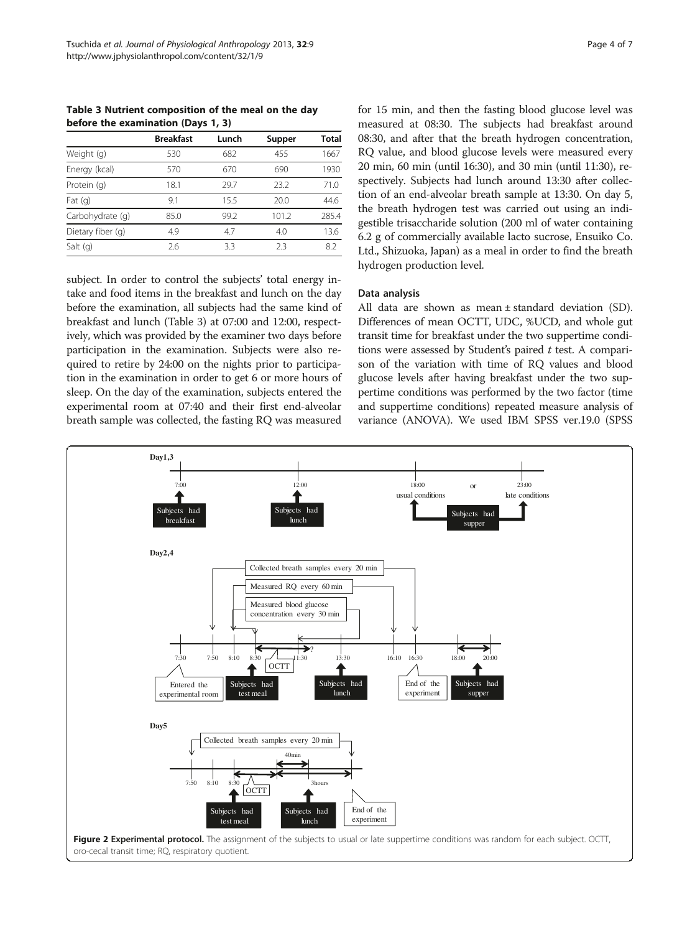<span id="page-3-0"></span>Table 3 Nutrient composition of the meal on the day before the examination (Days 1, 3)

|                   | <b>Breakfast</b> | Lunch | Supper | Total |
|-------------------|------------------|-------|--------|-------|
| Weight (g)        | 530              | 682   | 455    | 1667  |
| Energy (kcal)     | 570              | 670   | 690    | 1930  |
| Protein (q)       | 18.1             | 29.7  | 23.2   | 71.0  |
| Fat $(q)$         | 9.1              | 15.5  | 20.0   | 44.6  |
| Carbohydrate (q)  | 85.0             | 99.2  | 101.2  | 285.4 |
| Dietary fiber (q) | 4.9              | 4.7   | 4.0    | 13.6  |
| Salt $(q)$        | 2.6              | 3.3   | 23     | 8.2   |

subject. In order to control the subjects' total energy intake and food items in the breakfast and lunch on the day before the examination, all subjects had the same kind of breakfast and lunch (Table 3) at 07:00 and 12:00, respectively, which was provided by the examiner two days before participation in the examination. Subjects were also required to retire by 24:00 on the nights prior to participation in the examination in order to get 6 or more hours of sleep. On the day of the examination, subjects entered the experimental room at 07:40 and their first end-alveolar breath sample was collected, the fasting RQ was measured for 15 min, and then the fasting blood glucose level was measured at 08:30. The subjects had breakfast around 08:30, and after that the breath hydrogen concentration, RQ value, and blood glucose levels were measured every 20 min, 60 min (until 16:30), and 30 min (until 11:30), respectively. Subjects had lunch around 13:30 after collection of an end-alveolar breath sample at 13:30. On day 5, the breath hydrogen test was carried out using an indigestible trisaccharide solution (200 ml of water containing 6.2 g of commercially available lacto sucrose, Ensuiko Co. Ltd., Shizuoka, Japan) as a meal in order to find the breath hydrogen production level.

### Data analysis

All data are shown as mean ± standard deviation (SD). Differences of mean OCTT, UDC, %UCD, and whole gut transit time for breakfast under the two suppertime conditions were assessed by Student's paired  $t$  test. A comparison of the variation with time of RQ values and blood glucose levels after having breakfast under the two suppertime conditions was performed by the two factor (time and suppertime conditions) repeated measure analysis of variance (ANOVA). We used IBM SPSS ver.19.0 (SPSS

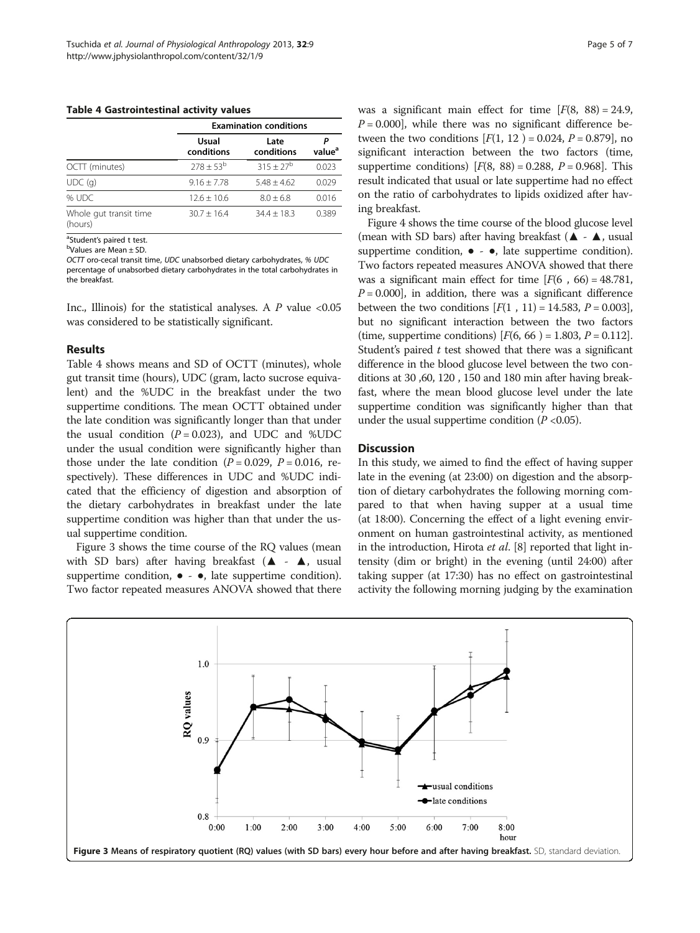<span id="page-4-0"></span>Table 4 Gastrointestinal activity values

|                                   |                     | <b>Examination conditions</b> |                    |  |  |  |
|-----------------------------------|---------------------|-------------------------------|--------------------|--|--|--|
|                                   | Usual<br>conditions | Late<br>conditions            | value <sup>a</sup> |  |  |  |
| OCTT (minutes)                    | $278 \pm 53^{b}$    | $315 + 27^b$                  | 0.023              |  |  |  |
| UDC(q)                            | $9.16 + 7.78$       | $5.48 + 4.62$                 | 0.029              |  |  |  |
| % UDC                             | $12.6 + 10.6$       | $8.0 + 6.8$                   | 0.016              |  |  |  |
| Whole gut transit time<br>(hours) | $30.7 + 16.4$       | $34.4 + 18.3$                 | 0.389              |  |  |  |

<sup>a</sup>Student's paired t test.<br><sup>b</sup>Values are Mean + SD

Values are Mean ± SD.

OCTT oro-cecal transit time, UDC unabsorbed dietary carbohydrates, % UDC percentage of unabsorbed dietary carbohydrates in the total carbohydrates in the breakfast.

Inc., Illinois) for the statistical analyses. A  $P$  value <0.05 was considered to be statistically significant.

#### Results

Table 4 shows means and SD of OCTT (minutes), whole gut transit time (hours), UDC (gram, lacto sucrose equivalent) and the %UDC in the breakfast under the two suppertime conditions. The mean OCTT obtained under the late condition was significantly longer than that under the usual condition  $(P = 0.023)$ , and UDC and %UDC under the usual condition were significantly higher than those under the late condition ( $P = 0.029$ ,  $P = 0.016$ , respectively). These differences in UDC and %UDC indicated that the efficiency of digestion and absorption of the dietary carbohydrates in breakfast under the late suppertime condition was higher than that under the usual suppertime condition.

Figure 3 shows the time course of the RQ values (mean with SD bars) after having breakfast ( $\blacktriangle$  -  $\blacktriangle$ , usual suppertime condition,  $\bullet - \bullet$ , late suppertime condition). Two factor repeated measures ANOVA showed that there was a significant main effect for time  $[F(8, 88) = 24.9,$  $P = 0.000$ , while there was no significant difference between the two conditions  $[F(1, 12) = 0.024, P = 0.879]$ , no significant interaction between the two factors (time, suppertime conditions)  $[F(8, 88) = 0.288, P = 0.968]$ . This result indicated that usual or late suppertime had no effect on the ratio of carbohydrates to lipids oxidized after having breakfast.

Figure [4](#page-5-0) shows the time course of the blood glucose level (mean with SD bars) after having breakfast ( $\blacktriangle$  -  $\blacktriangle$ , usual suppertime condition,  $\bullet - \bullet$ , late suppertime condition). Two factors repeated measures ANOVA showed that there was a significant main effect for time  $[F(6, 66) = 48.781]$ ,  $P = 0.000$ , in addition, there was a significant difference between the two conditions  $[F(1, 11) = 14.583, P = 0.003]$ , but no significant interaction between the two factors (time, suppertime conditions)  $[F(6, 66) = 1.803, P = 0.112]$ . Student's paired  $t$  test showed that there was a significant difference in the blood glucose level between the two conditions at 30 ,60, 120 , 150 and 180 min after having breakfast, where the mean blood glucose level under the late suppertime condition was significantly higher than that under the usual suppertime condition  $(P<0.05)$ .

#### **Discussion**

In this study, we aimed to find the effect of having supper late in the evening (at 23:00) on digestion and the absorption of dietary carbohydrates the following morning compared to that when having supper at a usual time (at 18:00). Concerning the effect of a light evening environment on human gastrointestinal activity, as mentioned in the introduction, Hirota et al. [\[8](#page-6-0)] reported that light intensity (dim or bright) in the evening (until 24:00) after taking supper (at 17:30) has no effect on gastrointestinal activity the following morning judging by the examination

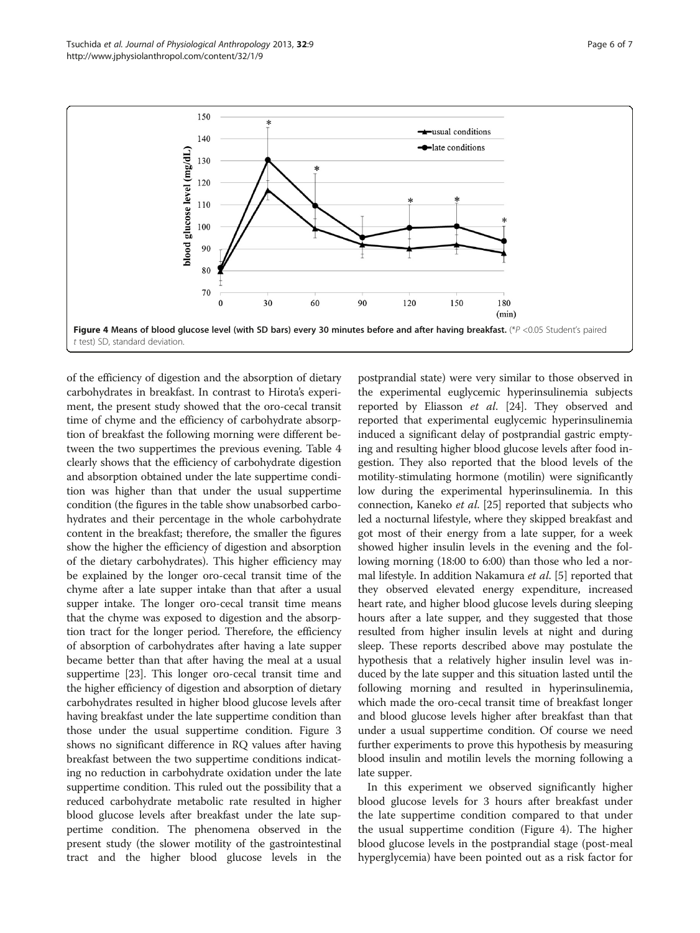<span id="page-5-0"></span>

of the efficiency of digestion and the absorption of dietary carbohydrates in breakfast. In contrast to Hirota's experiment, the present study showed that the oro-cecal transit time of chyme and the efficiency of carbohydrate absorption of breakfast the following morning were different between the two suppertimes the previous evening. Table [4](#page-4-0) clearly shows that the efficiency of carbohydrate digestion and absorption obtained under the late suppertime condition was higher than that under the usual suppertime condition (the figures in the table show unabsorbed carbohydrates and their percentage in the whole carbohydrate content in the breakfast; therefore, the smaller the figures show the higher the efficiency of digestion and absorption of the dietary carbohydrates). This higher efficiency may be explained by the longer oro-cecal transit time of the chyme after a late supper intake than that after a usual supper intake. The longer oro-cecal transit time means that the chyme was exposed to digestion and the absorption tract for the longer period. Therefore, the efficiency of absorption of carbohydrates after having a late supper became better than that after having the meal at a usual suppertime [\[23](#page-6-0)]. This longer oro-cecal transit time and the higher efficiency of digestion and absorption of dietary carbohydrates resulted in higher blood glucose levels after having breakfast under the late suppertime condition than those under the usual suppertime condition. Figure [3](#page-4-0) shows no significant difference in RQ values after having breakfast between the two suppertime conditions indicating no reduction in carbohydrate oxidation under the late suppertime condition. This ruled out the possibility that a reduced carbohydrate metabolic rate resulted in higher blood glucose levels after breakfast under the late suppertime condition. The phenomena observed in the present study (the slower motility of the gastrointestinal tract and the higher blood glucose levels in the

postprandial state) were very similar to those observed in the experimental euglycemic hyperinsulinemia subjects reported by Eliasson *et al.* [\[24](#page-6-0)]. They observed and reported that experimental euglycemic hyperinsulinemia induced a significant delay of postprandial gastric emptying and resulting higher blood glucose levels after food ingestion. They also reported that the blood levels of the motility-stimulating hormone (motilin) were significantly low during the experimental hyperinsulinemia. In this connection, Kaneko et al. [\[25\]](#page-6-0) reported that subjects who led a nocturnal lifestyle, where they skipped breakfast and got most of their energy from a late supper, for a week showed higher insulin levels in the evening and the following morning (18:00 to 6:00) than those who led a nor-mal lifestyle. In addition Nakamura et al. [\[5\]](#page-6-0) reported that they observed elevated energy expenditure, increased heart rate, and higher blood glucose levels during sleeping hours after a late supper, and they suggested that those resulted from higher insulin levels at night and during sleep. These reports described above may postulate the hypothesis that a relatively higher insulin level was induced by the late supper and this situation lasted until the following morning and resulted in hyperinsulinemia, which made the oro-cecal transit time of breakfast longer and blood glucose levels higher after breakfast than that under a usual suppertime condition. Of course we need further experiments to prove this hypothesis by measuring blood insulin and motilin levels the morning following a late supper.

In this experiment we observed significantly higher blood glucose levels for 3 hours after breakfast under the late suppertime condition compared to that under the usual suppertime condition (Figure 4). The higher blood glucose levels in the postprandial stage (post-meal hyperglycemia) have been pointed out as a risk factor for